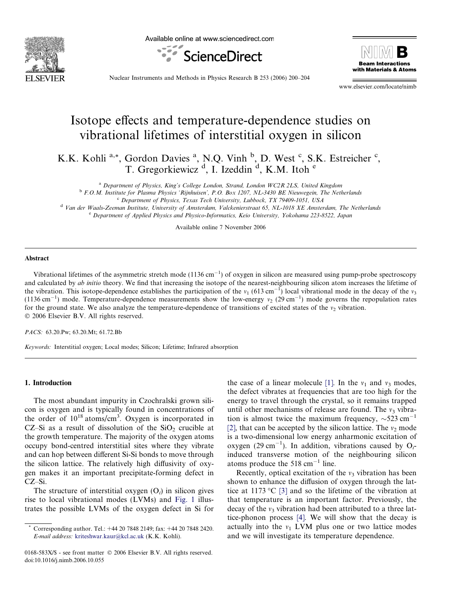

Available online at www.sciencedirect.com





Nuclear Instruments and Methods in Physics Research B 253 (2006) 200–204

www.elsevier.com/locate/nimb

# Isotope effects and temperature-dependence studies on vibrational lifetimes of interstitial oxygen in silicon

K.K. Kohli<sup>a,\*</sup>, Gordon Davies<sup>a</sup>, N.Q. Vinh <sup>b</sup>, D. West <sup>c</sup>, S.K. Estreicher <sup>c</sup>, T. Gregorkiewicz<sup>d</sup>, I. Izeddin<sup>d</sup>, K.M. Itoh<sup>e</sup>

<sup>a</sup> Department of Physics, King's College London, Strand, London WC2R 2LS, United Kingdom

<sup>b</sup> F.O.M. Institute for Plasma Physics 'Rijnhuisen', P.O. Box 1207, NL-3430 BE Nieuwegein, The Netherlands

<sup>c</sup> Department of Physics, Texas Tech University, Lubbock, TX 79409-1051, USA

<sup>d</sup> Van der Waals-Zeeman Institute, University of Amsterdam, Valckenierstraat 65, NL-1018 XE Amsterdam, The Netherlands <sup>e</sup> Department of Applied Physics and Physico-Informatics, Keio University, Yokohama 223-8522, Japan

Available online 7 November 2006

#### **Abstract**

Vibrational lifetimes of the asymmetric stretch mode  $(1136 \text{ cm}^{-1})$  of oxygen in silicon are measured using pump-probe spectroscopy and calculated by ab initio theory. We find that increasing the isotope of the nearest-neighbouring silicon atom increases the lifetime of the vibration. This isotope-dependence establishes the participation of the  $v_1$  (613 cm<sup>-1</sup>) local vibrational mode in the decay of the  $v_3$ (1136 cm<sup>-1</sup>) mode. Temperature-dependence measurements show the low-energy  $v_2$  (29 cm<sup>-1</sup>) mode governs the repopulation rates for the ground state. We also analyze the temperature-dependence of transitions of excited states of the  $v_2$  vibration. © 2006 Elsevier B.V. All rights reserved.

PACS: 63.20.Pw; 63.20.Mt; 61.72.Bb

Keywords: Interstitial oxygen; Local modes; Silicon; Lifetime; Infrared absorption

#### 1. Introduction

The most abundant impurity in Czochralski grown silicon is oxygen and is typically found in concentrations of the order of  $10^{18}$  atoms/cm<sup>3</sup>. Oxygen is incorporated in CZ–Si as a result of dissolution of the  $SiO<sub>2</sub>$  crucible at the growth temperature. The majority of the oxygen atoms occupy bond-centred interstitial sites where they vibrate and can hop between different Si-Si bonds to move through the silicon lattice. The relatively high diffusivity of oxygen makes it an important precipitate-forming defect in CZ–Si.

The structure of interstitial oxygen  $(O_i)$  in silicon gives rise to local vibrational modes (LVMs) and [Fig. 1](#page-1-0) illustrates the possible LVMs of the oxygen defect in Si for

the case of a linear molecule [\[1\].](#page-4-0) In the  $v_1$  and  $v_3$  modes, the defect vibrates at frequencies that are too high for the energy to travel through the crystal, so it remains trapped until other mechanisms of release are found. The  $v_3$  vibration is almost twice the maximum frequency,  $\sim$  523 cm<sup>-1</sup> [\[2\]](#page-4-0), that can be accepted by the silicon lattice. The  $v_2$  mode is a two-dimensional low energy anharmonic excitation of oxygen (29 cm<sup>-1</sup>). In addition, vibrations caused by  $O_i$ induced transverse motion of the neighbouring silicon atoms produce the  $518 \text{ cm}^{-1}$  line.

Recently, optical excitation of the  $v_3$  vibration has been shown to enhance the diffusion of oxygen through the lat-tice at 1173 °C [\[3\]](#page-4-0) and so the lifetime of the vibration at that temperature is an important factor. Previously, the decay of the  $v_3$  vibration had been attributed to a three lattice-phonon process [\[4\]](#page-4-0). We will show that the decay is actually into the  $v_1$  LVM plus one or two lattice modes and we will investigate its temperature dependence.

Corresponding author. Tel.: +44 20 7848 2149; fax: +44 20 7848 2420. E-mail address: [kriteshwar.kaur@kcl.ac.uk](mailto:kriteshwar.kaur@kcl.ac.uk) (K.K. Kohli).

<sup>0168-583</sup>X/\$ - see front matter © 2006 Elsevier B.V. All rights reserved. doi:10.1016/j.nimb.2006.10.055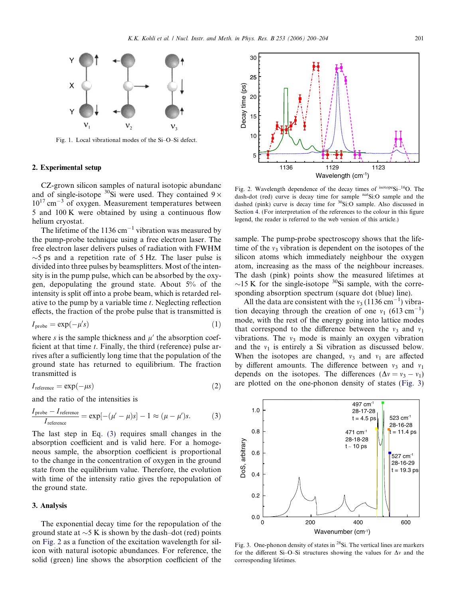<span id="page-1-0"></span>

Fig. 1. Local vibrational modes of the Si–O–Si defect.

### 2. Experimental setup

CZ-grown silicon samples of natural isotopic abundanc and of single-isotope  ${}^{30}$ Si were used. They contained  $9 \times$  $10^{17}$  cm<sup>-3</sup> of oxygen. Measurement temperatures between 5 and 100 K were obtained by using a continuous flow helium cryostat.

The lifetime of the 1136  $\text{cm}^{-1}$  vibration was measured by the pump-probe technique using a free electron laser. The free electron laser delivers pulses of radiation with FWHM  $\sim$ 5 ps and a repetition rate of 5 Hz. The laser pulse is divided into three pulses by beamsplitters. Most of the intensity is in the pump pulse, which can be absorbed by the oxygen, depopulating the ground state. About 5% of the intensity is split off into a probe beam, which is retarded relative to the pump by a variable time t. Neglecting reflection effects, the fraction of the probe pulse that is transmitted is

$$
I_{\text{probe}} = \exp(-\mu's) \tag{1}
$$

where s is the sample thickness and  $\mu'$  the absorption coefficient at that time  $t$ . Finally, the third (reference) pulse arrives after a sufficiently long time that the population of the ground state has returned to equilibrium. The fraction transmitted is

$$
I_{\text{reference}} = \exp(-\mu s) \tag{2}
$$

and the ratio of the intensities is

$$
\frac{I_{\text{probe}} - I_{\text{reference}}}{I_{\text{reference}}} = \exp[-(\mu' - \mu)s] - 1 \approx (\mu - \mu')s. \tag{3}
$$

The last step in Eq. (3) requires small changes in the absorption coefficient and is valid here. For a homogeneous sample, the absorption coefficient is proportional to the change in the concentration of oxygen in the ground state from the equilibrium value. Therefore, the evolution with time of the intensity ratio gives the repopulation of the ground state.

#### 3. Analysis

The exponential decay time for the repopulation of the ground state at  $\sim$  5 K is shown by the dash–dot (red) points on Fig. 2 as a function of the excitation wavelength for silicon with natural isotopic abundances. For reference, the solid (green) line shows the absorption coefficient of the



Fig. 2. Wavelength dependence of the decay times of <sup>isotope</sup>Si<sup>-16</sup>O. The dash-dot (red) curve is decay time for sample natSi:O sample and the dashed (pink) curve is decay time for <sup>30</sup>Si:O sample. Also discussed in Section [4.](#page-2-0) (For interpretation of the references to the colour in this figure legend, the reader is referred to the web version of this article.)

sample. The pump-probe spectroscopy shows that the lifetime of the  $v_3$  vibration is dependent on the isotopes of the silicon atoms which immediately neighbour the oxygen atom, increasing as the mass of the neighbour increases. The dash (pink) points show the measured lifetimes at  $\sim$ 15 K for the single-isotope <sup>30</sup>Si sample, with the corresponding absorption spectrum (square dot (blue) line).

All the data are consistent with the  $v_3$  (1136 cm<sup>-1</sup>) vibration decaying through the creation of one  $v_1$  (613 cm<sup>-1</sup>) mode, with the rest of the energy going into lattice modes that correspond to the difference between the  $v_3$  and  $v_1$ vibrations. The  $v_3$  mode is mainly an oxygen vibration and the  $v_1$  is entirely a Si vibration as discussed below. When the isotopes are changed,  $v_3$  and  $v_1$  are affected by different amounts. The difference between  $v_3$  and  $v_1$ depends on the isotopes. The differences  $(\Delta v = v_3 - v_1)$ are plotted on the one-phonon density of states (Fig. 3)



Fig. 3. One-phonon density of states in 28Si. The vertical lines are markers for the different Si–O–Si structures showing the values for  $\Delta v$  and the corresponding lifetimes.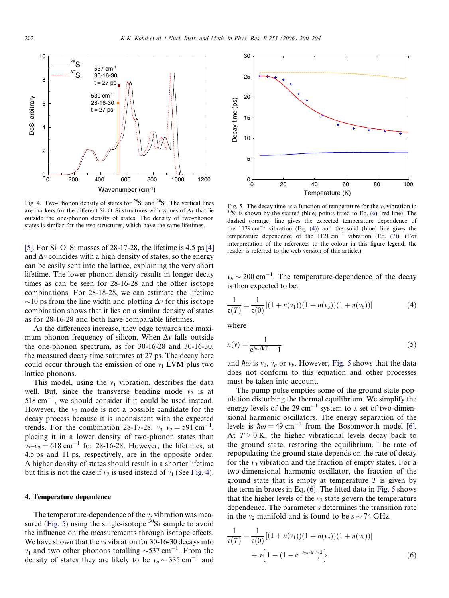<span id="page-2-0"></span>

Fig. 4. Two-Phonon density of states for  $^{28}Si$  and  $^{30}Si$ . The vertical lines are markers for the different Si-O-Si structures with values of  $\Delta v$  that lie outside the one-phonon density of states. The density of two-phonon states is similar for the two structures, which have the same lifetimes.

[\[5\]](#page-4-0). For Si–O–Si masses of 28-17-28, the lifetime is 4.5 ps [\[4\]](#page-4-0) and  $\Delta v$  coincides with a high density of states, so the energy can be easily sent into the lattice, explaining the very short lifetime. The lower phonon density results in longer decay times as can be seen for 28-16-28 and the other isotope combinations. For 28-18-28, we can estimate the lifetime  $\sim$ 10 ps from the line width and plotting  $\Delta v$  for this isotope combination shows that it lies on a similar density of states as for 28-16-28 and both have comparable lifetimes.

As the differences increase, they edge towards the maximum phonon frequency of silicon. When  $\Delta v$  falls outside the one-phonon spectrum, as for 30-16-28 and 30-16-30, the measured decay time saturates at 27 ps. The decay here could occur through the emission of one  $v_1$  LVM plus two lattice phonons.

This model, using the  $v_1$  vibration, describes the data well. But, since the transverse bending mode  $v_2$  is at  $518 \text{ cm}^{-1}$ , we should consider if it could be used instead. However, the  $v_2$  mode is not a possible candidate for the decay process because it is inconsistent with the expected trends. For the combination 28-17-28,  $v_3-v_2 = 591 \text{ cm}^{-1}$ , placing it in a lower density of two-phonon states than  $v_3 - v_2 = 618$  cm<sup>-1</sup> for 28-16-28. However, the lifetimes, at 4.5 ps and 11 ps, respectively, are in the opposite order. A higher density of states should result in a shorter lifetime but this is not the case if  $v_2$  is used instead of  $v_1$  (See Fig. 4).

#### 4. Temperature dependence

The temperature-dependence of the  $v_3$  vibration was measured (Fig. 5) using the single-isotope  ${}^{30}$ Si sample to avoid the influence on the measurements through isotope effects. We have shown that the  $v_3$  vibration for 30-16-30 decays into  $v_1$  and two other phonons totalling  $\sim$ 537 cm<sup>-1</sup>. From the density of states they are likely to be  $v_a \sim 335 \text{ cm}^{-1}$  and



Fig. 5. The decay time as a function of temperature for the  $v_3$  vibration in  $^{30}$ Si is shown by the starred (blue) points fitted to Eq. (6) (red line). The dashed (orange) line gives the expected temperature dependence of the  $1129 \text{ cm}^{-1}$  vibration (Eq. (4)) and the solid (blue) line gives the temperature dependence of the  $1121 \text{ cm}^{-1}$  vibration (Eq. [\(7\)](#page-3-0)). (For interpretation of the references to the colour in this figure legend, the reader is referred to the web version of this article.)

 $v_b \sim 200 \text{ cm}^{-1}$ . The temperature-dependence of the decay is then expected to be:

$$
\frac{1}{\tau(T)} = \frac{1}{\tau(0)} [(1 + n(v_1))(1 + n(v_a))(1 + n(v_b))]
$$
(4)

where

$$
n(v) = \frac{1}{e^{\hbar \omega/kT} - 1} \tag{5}
$$

and  $\hbar \omega$  is  $v_1$ ,  $v_a$  or  $v_b$ . However, Fig. 5 shows that the data does not conform to this equation and other processes must be taken into account.

The pump pulse empties some of the ground state population disturbing the thermal equilibrium. We simplify the energy levels of the  $29 \text{ cm}^{-1}$  system to a set of two-dimensional harmonic oscillators. The energy separation of the levels is  $\hbar \omega = 49 \text{ cm}^{-1}$  from the Bosomworth model [\[6\]](#page-4-0). At  $T > 0$  K, the higher vibrational levels decay back to the ground state, restoring the equilibrium. The rate of repopulating the ground state depends on the rate of decay for the  $v_3$  vibration and the fraction of empty states. For a two-dimensional harmonic oscillator, the fraction of the ground state that is empty at temperature  $T$  is given by the term in braces in Eq. (6). The fitted data in Fig. 5 shows that the higher levels of the  $v_2$  state govern the temperature dependence. The parameter s determines the transition rate in the  $v_2$  manifold and is found to be  $s \sim 74$  GHz.

$$
\frac{1}{\tau(T)} = \frac{1}{\tau(0)} [(1 + n(v_1))(1 + n(v_a))(1 + n(v_b))]
$$
  
+  $s \left\{ 1 - (1 - e^{-\hbar \omega/kT})^2 \right\}$  (6)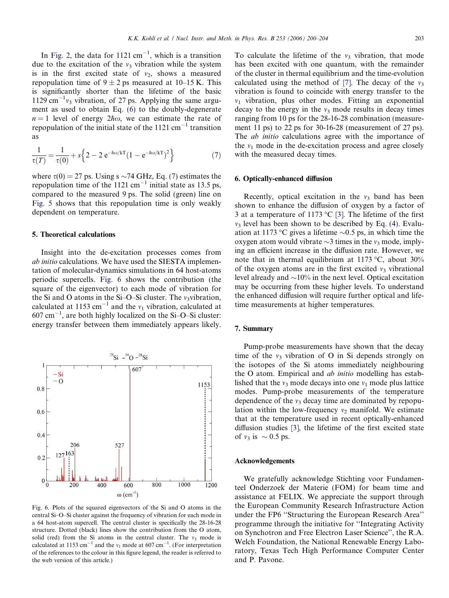<span id="page-3-0"></span>In [Fig. 2,](#page-1-0) the data for  $1121 \text{ cm}^{-1}$ , which is a transition due to the excitation of the  $v_3$  vibration while the system is in the first excited state of  $v_2$ , shows a measured repopulation time of  $9 \pm 2$  ps measured at 10–15 K. This is significantly shorter than the lifetime of the basic 1129 cm<sup>-1</sup> $v_3$  vibration, of 27 ps. Applying the same argument as used to obtain Eq. [\(6\)](#page-2-0) to the doubly-degenerate  $n = 1$  level of energy  $2\hbar\omega$ , we can estimate the rate of repopulation of the initial state of the  $1121 \text{ cm}^{-1}$  transition as

$$
\frac{1}{\tau(T)} = \frac{1}{\tau(0)} + s \left\{ 2 - 2 e^{-\hbar \omega / kT} (1 - e^{-\hbar \omega / kT})^2 \right\}
$$
(7)

where  $\tau(0) = 27$  ps. Using s  $\sim$  74 GHz, Eq. (7) estimates the repopulation time of the  $1121 \text{ cm}^{-1}$  initial state as 13.5 ps, compared to the measured 9 ps. The solid (green) line on [Fig. 5](#page-2-0) shows that this repopulation time is only weakly dependent on temperature.

### 5. Theoretical calculations

Insight into the de-excitation processes comes from ab initio calculations. We have used the SIESTA implementation of molecular-dynamics simulations in 64 host-atoms periodic supercells. Fig. 6 shows the contribution (the square of the eigenvector) to each mode of vibration for the Si and O atoms in the Si–O–Si cluster. The  $v_3$ vibration, calculated at 1153 cm<sup>-1</sup> and the  $v_1$  vibration, calculated at  $607 \text{ cm}^{-1}$ , are both highly localized on the Si-O-Si cluster: energy transfer between them immediately appears likely.



Fig. 6. Plots of the squared eigenvectors of the Si and O atoms in the central Si–O–Si cluster against the frequency of vibration for each mode in a 64 host-atom supercell. The central cluster is specifically the 28-16-28 structure. Dotted (black) lines show the contribution from the O atom, solid (red) from the Si atoms in the central cluster. The  $v_3$  mode is calculated at 1153 cm<sup>-1</sup> and the  $v_1$  mode at 607 cm<sup>-1</sup>. (For interpretation of the references to the colour in this figure legend, the reader is referred to the web version of this article.)

To calculate the lifetime of the  $v_3$  vibration, that mode has been excited with one quantum, with the remainder of the cluster in thermal equilibrium and the time-evolution calculated using the method of [\[7\]](#page-4-0). The decay of the  $v_3$ vibration is found to coincide with energy transfer to the  $v_1$  vibration, plus other modes. Fitting an exponential decay to the energy in the  $v_3$  mode results in decay times ranging from 10 ps for the 28-16-28 combination (measurement 11 ps) to 22 ps for 30-16-28 (measurement of 27 ps). The *ab initio* calculations agree with the importance of the  $v_1$  mode in the de-excitation process and agree closely with the measured decay times.

## 6. Optically-enhanced diffusion

Recently, optical excitation in the  $v_3$  band has been shown to enhance the diffusion of oxygen by a factor of 3 at a temperature of 1173 °C [\[3\]](#page-4-0). The lifetime of the first  $v<sub>3</sub>$  level has been shown to be described by Eq. [\(4\)](#page-2-0). Evaluation at 1173 °C gives a lifetime  $\sim 0.5$  ps, in which time the oxygen atom would vibrate  $\sim$ 3 times in the  $v_3$  mode, implying an efficient increase in the diffusion rate. However, we note that in thermal equilibrium at 1173 °C, about 30% of the oxygen atoms are in the first excited  $v_3$  vibrational level already and  $\sim$ 10% in the next level. Optical excitation may be occurring from these higher levels. To understand the enhanced diffusion will require further optical and lifetime measurements at higher temperatures.

#### 7. Summary

Pump-probe measurements have shown that the decay time of the  $v_3$  vibration of O in Si depends strongly on the isotopes of the Si atoms immediately neighbouring the O atom. Empirical and *ab initio* modelling has established that the  $v_3$  mode decays into one  $v_1$  mode plus lattice modes. Pump-probe measurements of the temperature dependence of the  $v_3$  decay time are dominated by repopulation within the low-frequency  $v_2$  manifold. We estimate that at the temperature used in recent optically-enhanced diffusion studies [\[3\],](#page-4-0) the lifetime of the first excited state of  $v_3$  is  $\sim 0.5$  ps.

#### Acknowledgements

We gratefully acknowledge Stichting voor Fundamenteel Onderzoek der Materie (FOM) for beam time and assistance at FELIX. We appreciate the support through the European Community Research Infrastructure Action under the FP6 ''Structuring the European Research Area'' programme through the initiative for ''Integrating Activity on Synchotron and Free Electron Laser Science'', the R.A. Welch Foundation, the National Renewable Energy Laboratory, Texas Tech High Performance Computer Center and P. Pavone.